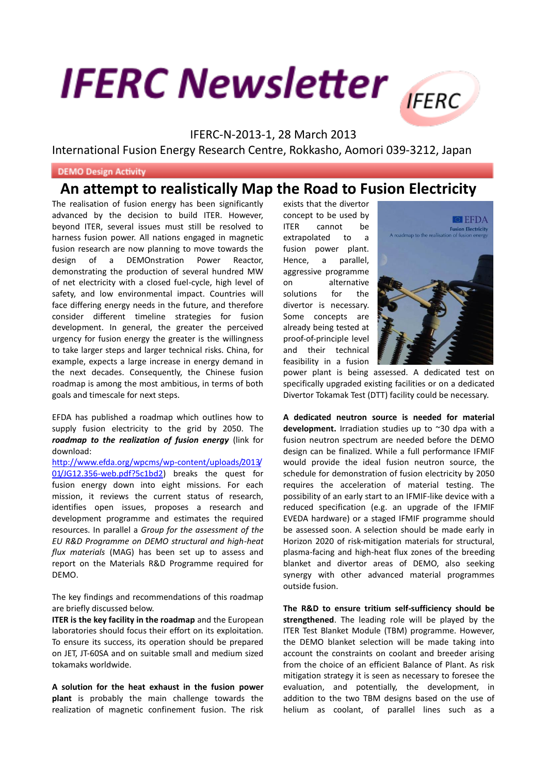## **IFERC Newsletter**



## IFERC-N-2013-1, 28 March 2013

International Fusion Energy Research Centre, Rokkasho, Aomori 039-3212, Japan

## **DEMO Design Activity**

## **An attempt to realistically Map the Road to Fusion Electricity**

The realisation of fusion energy has been significantly advanced by the decision to build ITER. However, beyond ITER, several issues must still be resolved to harness fusion power. All nations engaged in magnetic fusion research are now planning to move towards the design of a DEMOnstration Power Reactor, demonstrating the production of several hundred MW of net electricity with a closed fuel-cycle, high level of safety, and low environmental impact. Countries will face differing energy needs in the future, and therefore consider different timeline strategies for fusion development. In general, the greater the perceived urgency for fusion energy the greater is the willingness to take larger steps and larger technical risks. China, for example, expects a large increase in energy demand in the next decades. Consequently, the Chinese fusion roadmap is among the most ambitious, in terms of both goals and timescale for next steps.

EFDA has published a roadmap which outlines how to supply fusion electricity to the grid by 2050. The *roadmap to the realization of fusion energy* (link for download:

[http://www.efda.org/wpcms/wp-content/uploads/2013/](http://www.efda.org/wpcms/wp-content/uploads/2013/01/JG12.356-web.pdf?5c1bd2) [01/JG12.356-web.pdf?5c1bd2\)](http://www.efda.org/wpcms/wp-content/uploads/2013/01/JG12.356-web.pdf?5c1bd2) breaks the quest for fusion energy down into eight missions. For each mission, it reviews the current status of research, identifies open issues, proposes a research and development programme and estimates the required resources. In parallel a *Group for the assessment of the EU R&D Programme on DEMO structural and high-heat flux materials* (MAG) has been set up to assess and report on the Materials R&D Programme required for DEMO.

The key findings and recommendations of this roadmap are briefly discussed below.

**ITER is the key facility in the roadmap** and the European laboratories should focus their effort on its exploitation. To ensure its success, its operation should be prepared on JET, JT-60SA and on suitable small and medium sized tokamaks worldwide.

**A solution for the heat exhaust in the fusion power plant** is probably the main challenge towards the realization of magnetic confinement fusion. The risk exists that the divertor concept to be used by ITER cannot be extrapolated to a fusion power plant. Hence, a parallel, aggressive programme on alternative solutions for the divertor is necessary. Some concepts are already being tested at proof-of-principle level and their technical feasibility in a fusion



power plant is being assessed. A dedicated test on specifically upgraded existing facilities or on a dedicated Divertor Tokamak Test (DTT) facility could be necessary.

**A dedicated neutron source is needed for material development.** Irradiation studies up to ~30 dpa with a fusion neutron spectrum are needed before the DEMO design can be finalized. While a full performance IFMIF would provide the ideal fusion neutron source, the schedule for demonstration of fusion electricity by 2050 requires the acceleration of material testing. The possibility of an early start to an IFMIF-like device with a reduced specification (e.g. an upgrade of the IFMIF EVEDA hardware) or a staged IFMIF programme should be assessed soon. A selection should be made early in Horizon 2020 of risk-mitigation materials for structural, plasma-facing and high-heat flux zones of the breeding blanket and divertor areas of DEMO, also seeking synergy with other advanced material programmes outside fusion.

**The R&D to ensure tritium self-sufficiency should be strengthened**. The leading role will be played by the ITER Test Blanket Module (TBM) programme. However, the DEMO blanket selection will be made taking into account the constraints on coolant and breeder arising from the choice of an efficient Balance of Plant. As risk mitigation strategy it is seen as necessary to foresee the evaluation, and potentially, the development, in addition to the two TBM designs based on the use of helium as coolant, of parallel lines such as a